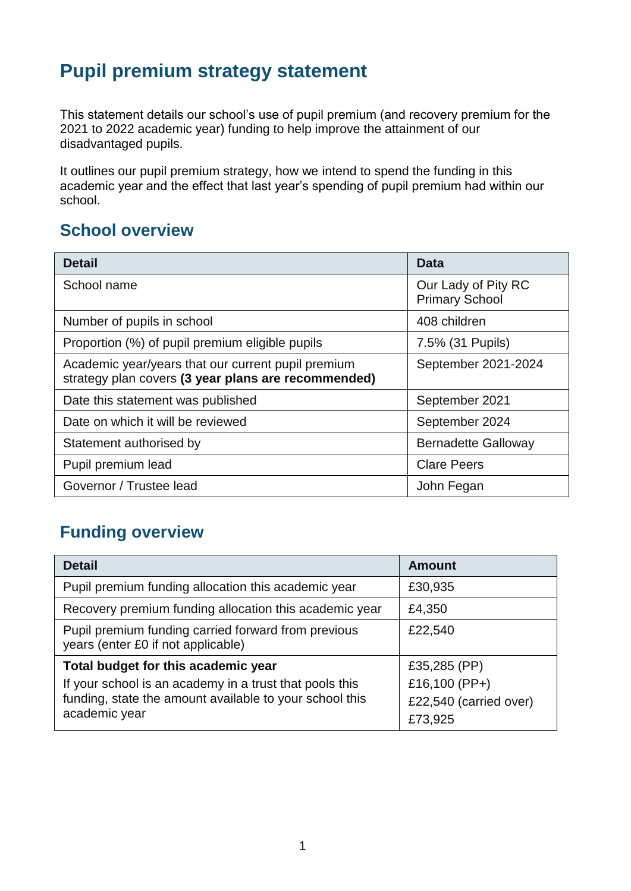## **Pupil premium strategy statement**

This statement details our school's use of pupil premium (and recovery premium for the 2021 to 2022 academic year) funding to help improve the attainment of our disadvantaged pupils.

It outlines our pupil premium strategy, how we intend to spend the funding in this academic year and the effect that last year's spending of pupil premium had within our school.

#### **School overview**

| <b>Detail</b>                                                                                             | Data                                         |
|-----------------------------------------------------------------------------------------------------------|----------------------------------------------|
| School name                                                                                               | Our Lady of Pity RC<br><b>Primary School</b> |
| Number of pupils in school                                                                                | 408 children                                 |
| Proportion (%) of pupil premium eligible pupils                                                           | 7.5% (31 Pupils)                             |
| Academic year/years that our current pupil premium<br>strategy plan covers (3 year plans are recommended) | September 2021-2024                          |
| Date this statement was published                                                                         | September 2021                               |
| Date on which it will be reviewed                                                                         | September 2024                               |
| Statement authorised by                                                                                   | <b>Bernadette Galloway</b>                   |
| Pupil premium lead                                                                                        | <b>Clare Peers</b>                           |
| Governor / Trustee lead                                                                                   | John Fegan                                   |

## **Funding overview**

| <b>Detail</b>                                                                             | <b>Amount</b>          |
|-------------------------------------------------------------------------------------------|------------------------|
| Pupil premium funding allocation this academic year                                       | £30,935                |
| Recovery premium funding allocation this academic year                                    | £4,350                 |
| Pupil premium funding carried forward from previous<br>years (enter £0 if not applicable) | £22,540                |
| Total budget for this academic year                                                       | £35,285 (PP)           |
| If your school is an academy in a trust that pools this                                   | £16,100 (PP+)          |
| funding, state the amount available to your school this                                   | £22,540 (carried over) |
| academic year                                                                             | £73,925                |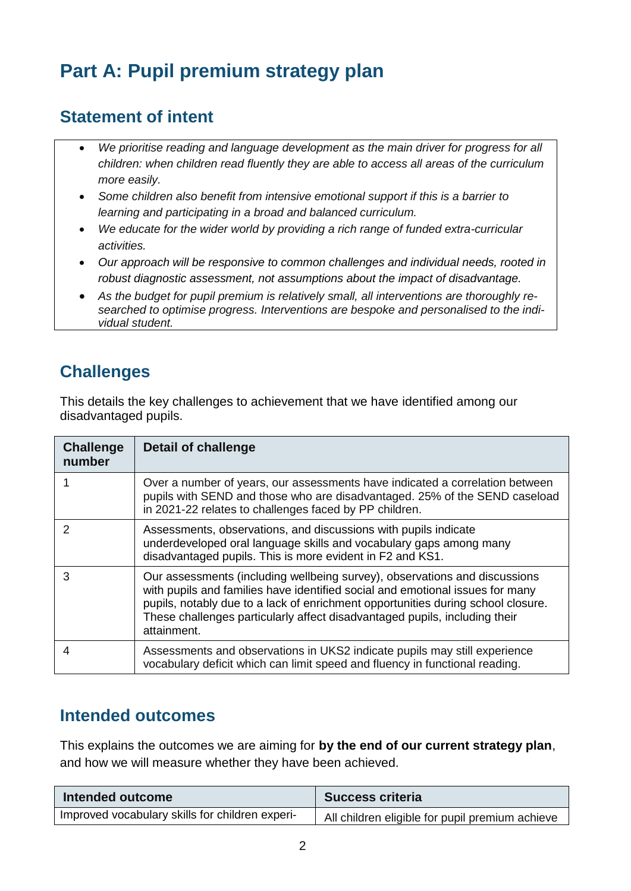# **Part A: Pupil premium strategy plan**

#### **Statement of intent**

- *We prioritise reading and language development as the main driver for progress for all children: when children read fluently they are able to access all areas of the curriculum more easily.*
- *Some children also benefit from intensive emotional support if this is a barrier to learning and participating in a broad and balanced curriculum.*
- *We educate for the wider world by providing a rich range of funded extra-curricular activities.*
- *Our approach will be responsive to common challenges and individual needs, rooted in robust diagnostic assessment, not assumptions about the impact of disadvantage.*
- *As the budget for pupil premium is relatively small, all interventions are thoroughly researched to optimise progress. Interventions are bespoke and personalised to the individual student.*

## **Challenges**

This details the key challenges to achievement that we have identified among our disadvantaged pupils.

| <b>Challenge</b><br>number | Detail of challenge                                                                                                                                                                                                                                                                                                                          |
|----------------------------|----------------------------------------------------------------------------------------------------------------------------------------------------------------------------------------------------------------------------------------------------------------------------------------------------------------------------------------------|
|                            | Over a number of years, our assessments have indicated a correlation between<br>pupils with SEND and those who are disadvantaged. 25% of the SEND caseload<br>in 2021-22 relates to challenges faced by PP children.                                                                                                                         |
| 2                          | Assessments, observations, and discussions with pupils indicate<br>underdeveloped oral language skills and vocabulary gaps among many<br>disadvantaged pupils. This is more evident in F2 and KS1.                                                                                                                                           |
| 3                          | Our assessments (including wellbeing survey), observations and discussions<br>with pupils and families have identified social and emotional issues for many<br>pupils, notably due to a lack of enrichment opportunities during school closure.<br>These challenges particularly affect disadvantaged pupils, including their<br>attainment. |
| 4                          | Assessments and observations in UKS2 indicate pupils may still experience<br>vocabulary deficit which can limit speed and fluency in functional reading.                                                                                                                                                                                     |

#### **Intended outcomes**

This explains the outcomes we are aiming for **by the end of our current strategy plan**, and how we will measure whether they have been achieved.

| Intended outcome                                | <b>Success criteria</b>                         |
|-------------------------------------------------|-------------------------------------------------|
| Improved vocabulary skills for children experi- | All children eligible for pupil premium achieve |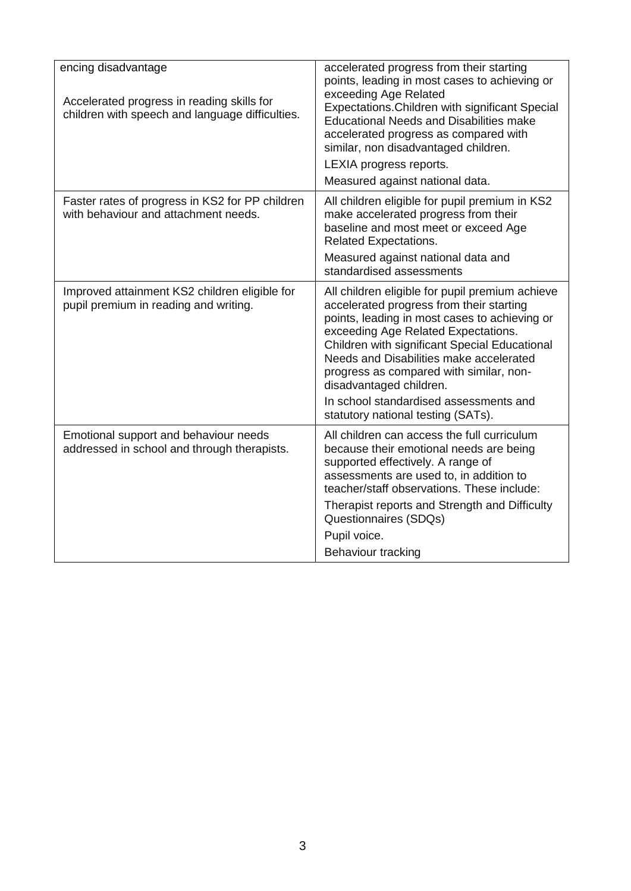| encing disadvantage<br>Accelerated progress in reading skills for<br>children with speech and language difficulties. | accelerated progress from their starting<br>points, leading in most cases to achieving or<br>exceeding Age Related<br>Expectations. Children with significant Special<br><b>Educational Needs and Disabilities make</b><br>accelerated progress as compared with<br>similar, non disadvantaged children.<br>LEXIA progress reports.<br>Measured against national data.                                                                |
|----------------------------------------------------------------------------------------------------------------------|---------------------------------------------------------------------------------------------------------------------------------------------------------------------------------------------------------------------------------------------------------------------------------------------------------------------------------------------------------------------------------------------------------------------------------------|
| Faster rates of progress in KS2 for PP children<br>with behaviour and attachment needs.                              | All children eligible for pupil premium in KS2<br>make accelerated progress from their<br>baseline and most meet or exceed Age<br><b>Related Expectations.</b><br>Measured against national data and<br>standardised assessments                                                                                                                                                                                                      |
| Improved attainment KS2 children eligible for<br>pupil premium in reading and writing.                               | All children eligible for pupil premium achieve<br>accelerated progress from their starting<br>points, leading in most cases to achieving or<br>exceeding Age Related Expectations.<br>Children with significant Special Educational<br>Needs and Disabilities make accelerated<br>progress as compared with similar, non-<br>disadvantaged children.<br>In school standardised assessments and<br>statutory national testing (SATs). |
| Emotional support and behaviour needs<br>addressed in school and through therapists.                                 | All children can access the full curriculum<br>because their emotional needs are being<br>supported effectively. A range of<br>assessments are used to, in addition to<br>teacher/staff observations. These include:<br>Therapist reports and Strength and Difficulty<br>Questionnaires (SDQs)<br>Pupil voice.<br>Behaviour tracking                                                                                                  |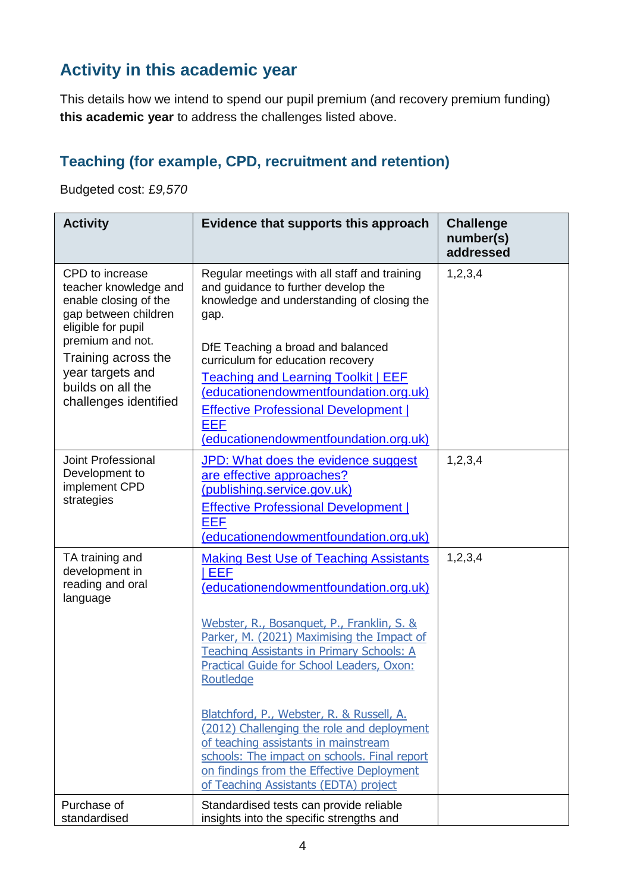## **Activity in this academic year**

This details how we intend to spend our pupil premium (and recovery premium funding) **this academic year** to address the challenges listed above.

#### **Teaching (for example, CPD, recruitment and retention)**

Budgeted cost: £*9,570*

| <b>Activity</b>                                                                                                 | Evidence that supports this approach                                                                                                                                                                                                                                  | <b>Challenge</b><br>number(s)<br>addressed |
|-----------------------------------------------------------------------------------------------------------------|-----------------------------------------------------------------------------------------------------------------------------------------------------------------------------------------------------------------------------------------------------------------------|--------------------------------------------|
| CPD to increase<br>teacher knowledge and<br>enable closing of the<br>gap between children<br>eligible for pupil | Regular meetings with all staff and training<br>and guidance to further develop the<br>knowledge and understanding of closing the<br>gap.                                                                                                                             | 1,2,3,4                                    |
| premium and not.<br>Training across the                                                                         | DfE Teaching a broad and balanced<br>curriculum for education recovery                                                                                                                                                                                                |                                            |
| year targets and<br>builds on all the<br>challenges identified                                                  | <b>Teaching and Learning Toolkit   EEF</b><br>(educationendowmentfoundation.org.uk)<br><b>Effective Professional Development  </b><br><b>EEF</b><br>(educationendowmentfoundation.org.uk)                                                                             |                                            |
| Joint Professional<br>Development to<br>implement CPD<br>strategies                                             | JPD: What does the evidence suggest<br>are effective approaches?<br>(publishing.service.gov.uk)<br><b>Effective Professional Development  </b><br><b>EEF</b><br>(educationendowmentfoundation.org.uk)                                                                 | 1, 2, 3, 4                                 |
| TA training and<br>development in<br>reading and oral<br>language                                               | <b>Making Best Use of Teaching Assistants</b><br>EEF<br>(educationendowmentfoundation.org.uk)                                                                                                                                                                         | 1,2,3,4                                    |
|                                                                                                                 | Webster, R., Bosanquet, P., Franklin, S. &<br>Parker, M. (2021) Maximising the Impact of<br><b>Teaching Assistants in Primary Schools: A</b><br>Practical Guide for School Leaders, Oxon:<br>Routledge                                                                |                                            |
|                                                                                                                 | Blatchford, P., Webster, R. & Russell, A.<br>(2012) Challenging the role and deployment<br>of teaching assistants in mainstream<br>schools: The impact on schools. Final report<br>on findings from the Effective Deployment<br>of Teaching Assistants (EDTA) project |                                            |
| Purchase of<br>standardised                                                                                     | Standardised tests can provide reliable<br>insights into the specific strengths and                                                                                                                                                                                   |                                            |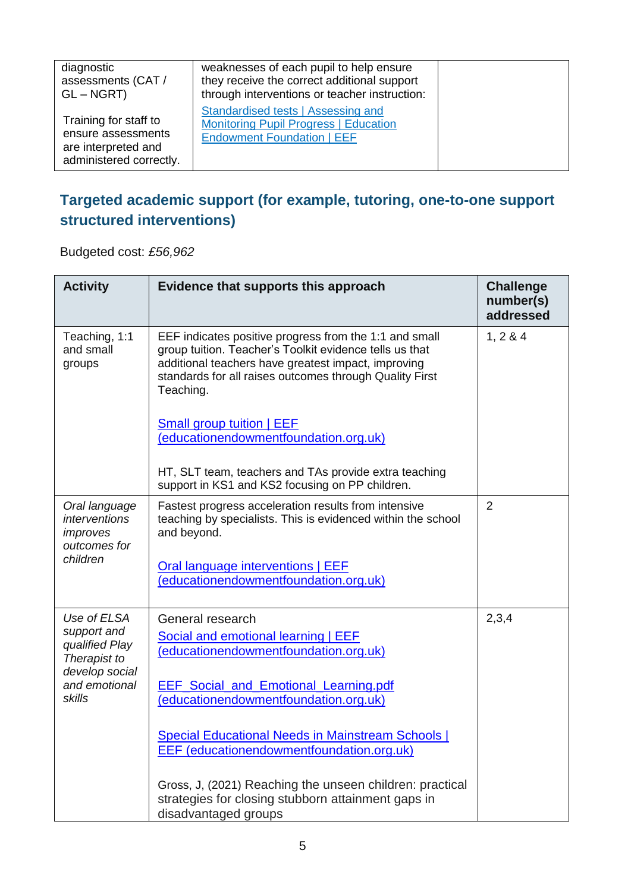| diagnostic<br>assessments (CAT /<br>$GL - NGRT$                                               | weaknesses of each pupil to help ensure<br>they receive the correct additional support<br>through interventions or teacher instruction: |  |
|-----------------------------------------------------------------------------------------------|-----------------------------------------------------------------------------------------------------------------------------------------|--|
| Training for staff to<br>ensure assessments<br>are interpreted and<br>administered correctly. | Standardised tests   Assessing and<br><b>Monitoring Pupil Progress   Education</b><br><b>Endowment Foundation   EEF</b>                 |  |

## **Targeted academic support (for example, tutoring, one-to-one support structured interventions)**

Budgeted cost: *£56,962*

| <b>Activity</b>                                                                | Evidence that supports this approach                                                                                                                                                                                                             | <b>Challenge</b><br>number(s)<br>addressed |
|--------------------------------------------------------------------------------|--------------------------------------------------------------------------------------------------------------------------------------------------------------------------------------------------------------------------------------------------|--------------------------------------------|
| Teaching, 1:1<br>and small<br>groups                                           | EEF indicates positive progress from the 1:1 and small<br>group tuition. Teacher's Toolkit evidence tells us that<br>additional teachers have greatest impact, improving<br>standards for all raises outcomes through Quality First<br>Teaching. | 1, 2 & 4                                   |
|                                                                                | Small group tuition   EEF<br>(educationendowmentfoundation.org.uk)                                                                                                                                                                               |                                            |
|                                                                                | HT, SLT team, teachers and TAs provide extra teaching<br>support in KS1 and KS2 focusing on PP children.                                                                                                                                         |                                            |
| Oral language<br>interventions<br>improves<br>outcomes for<br>children         | Fastest progress acceleration results from intensive<br>teaching by specialists. This is evidenced within the school<br>and beyond.                                                                                                              | $\overline{2}$                             |
|                                                                                | Oral language interventions   EEF<br>(educationendowmentfoundation.org.uk)                                                                                                                                                                       |                                            |
| Use of ELSA<br>support and<br>qualified Play<br>Therapist to<br>develop social | General research<br>Social and emotional learning   EEF<br>(educationendowmentfoundation.org.uk)                                                                                                                                                 | 2,3,4                                      |
| and emotional<br>skills                                                        | <b>EEF Social and Emotional Learning.pdf</b><br>(educationendowmentfoundation.org.uk)                                                                                                                                                            |                                            |
|                                                                                | Special Educational Needs in Mainstream Schools  <br><b>EEF</b> (educationendowmentfoundation.org.uk)                                                                                                                                            |                                            |
|                                                                                | Gross, J, (2021) Reaching the unseen children: practical<br>strategies for closing stubborn attainment gaps in<br>disadvantaged groups                                                                                                           |                                            |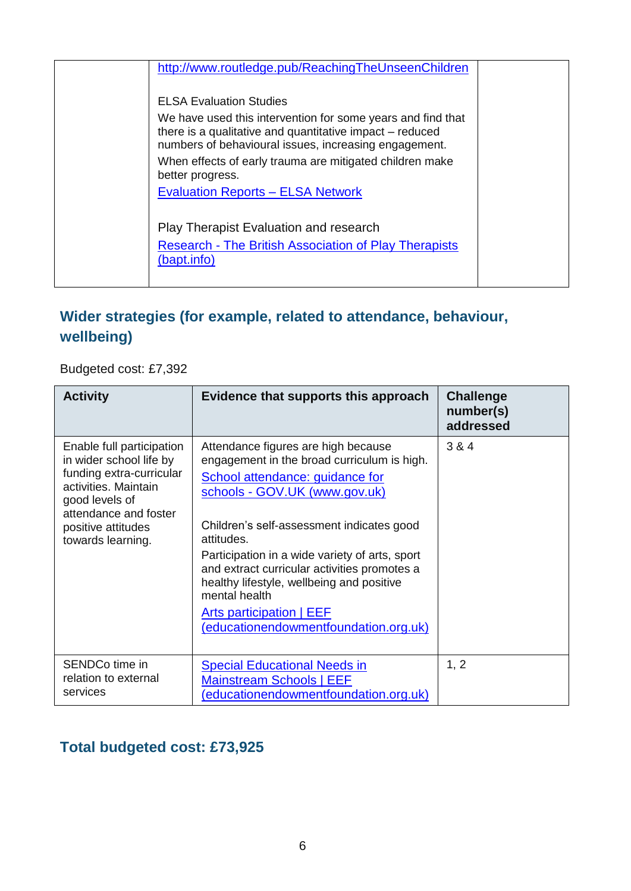| http://www.routledge.pub/ReachingTheUnseenChildren                                                                                                                                                                                                                                                 |
|----------------------------------------------------------------------------------------------------------------------------------------------------------------------------------------------------------------------------------------------------------------------------------------------------|
| <b>ELSA Evaluation Studies</b><br>We have used this intervention for some years and find that<br>there is a qualitative and quantitative impact – reduced<br>numbers of behavioural issues, increasing engagement.<br>When effects of early trauma are mitigated children make<br>better progress. |
| <b>Evaluation Reports - ELSA Network</b>                                                                                                                                                                                                                                                           |
| <b>Play Therapist Evaluation and research</b><br><b>Research - The British Association of Play Therapists</b><br>(bapt.info)                                                                                                                                                                       |

#### **Wider strategies (for example, related to attendance, behaviour, wellbeing)**

Budgeted cost: £7,392

| <b>Activity</b>                                                                                                                                                                                | Evidence that supports this approach                                                                                                                                                                                                                                                                                                                                                                                                                          | <b>Challenge</b><br>number(s)<br>addressed |
|------------------------------------------------------------------------------------------------------------------------------------------------------------------------------------------------|---------------------------------------------------------------------------------------------------------------------------------------------------------------------------------------------------------------------------------------------------------------------------------------------------------------------------------------------------------------------------------------------------------------------------------------------------------------|--------------------------------------------|
| Enable full participation<br>in wider school life by<br>funding extra-curricular<br>activities. Maintain<br>good levels of<br>attendance and foster<br>positive attitudes<br>towards learning. | Attendance figures are high because<br>engagement in the broad curriculum is high.<br>School attendance: guidance for<br>schools - GOV.UK (www.gov.uk)<br>Children's self-assessment indicates good<br>attitudes.<br>Participation in a wide variety of arts, sport<br>and extract curricular activities promotes a<br>healthy lifestyle, wellbeing and positive<br>mental health<br><b>Arts participation   EEF</b><br>(educationendowmentfoundation.org.uk) | 3 & 4                                      |
| SENDCo time in<br>relation to external<br>services                                                                                                                                             | <b>Special Educational Needs in</b><br><b>Mainstream Schools   EEF</b><br>(educationendowmentfoundation.org.uk)                                                                                                                                                                                                                                                                                                                                               | 1, 2                                       |

#### **Total budgeted cost: £73,925**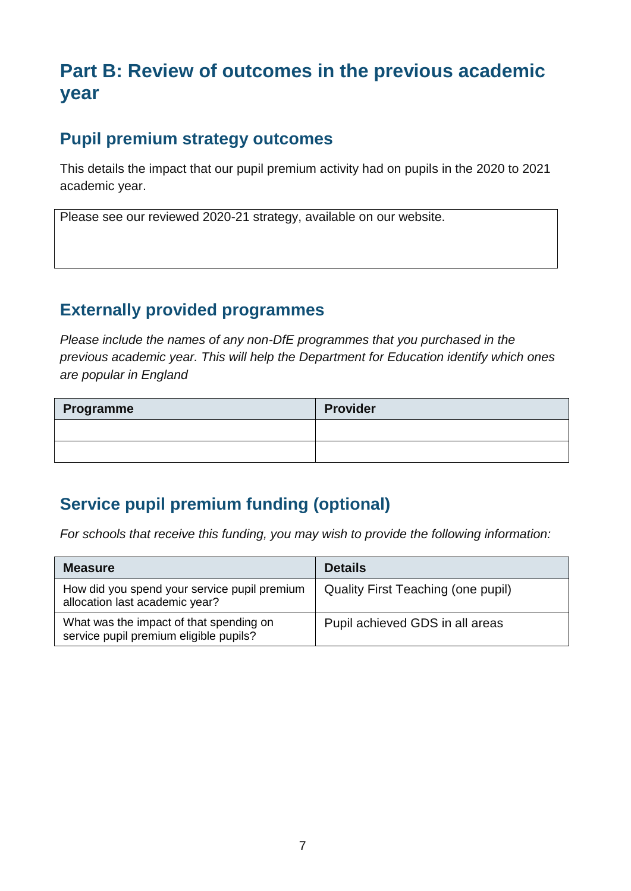## **Part B: Review of outcomes in the previous academic year**

#### **Pupil premium strategy outcomes**

This details the impact that our pupil premium activity had on pupils in the 2020 to 2021 academic year.

Please see our reviewed 2020-21 strategy, available on our website.

#### **Externally provided programmes**

*Please include the names of any non-DfE programmes that you purchased in the previous academic year. This will help the Department for Education identify which ones are popular in England*

| Programme | <b>Provider</b> |
|-----------|-----------------|
|           |                 |
|           |                 |

## **Service pupil premium funding (optional)**

*For schools that receive this funding, you may wish to provide the following information:* 

| <b>Measure</b>                                                                    | <b>Details</b>                     |
|-----------------------------------------------------------------------------------|------------------------------------|
| How did you spend your service pupil premium<br>allocation last academic year?    | Quality First Teaching (one pupil) |
| What was the impact of that spending on<br>service pupil premium eligible pupils? | Pupil achieved GDS in all areas    |